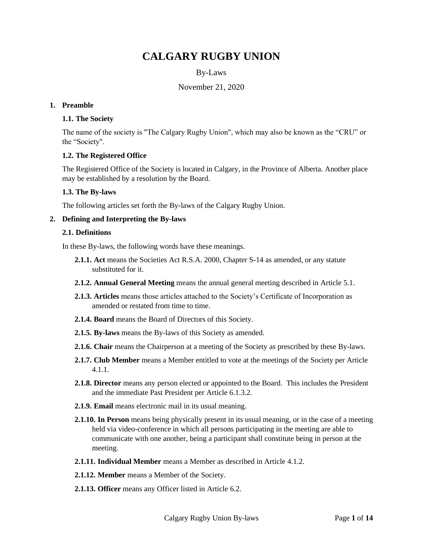# **CALGARY RUGBY UNION**

# By-Laws

# November 21, 2020

#### **1. Preamble**

## **1.1. The Society**

The name of the society is "The Calgary Rugby Union", which may also be known as the "CRU" or the "Society".

## **1.2. The Registered Office**

The Registered Office of the Society is located in Calgary, in the Province of Alberta. Another place may be established by a resolution by the Board.

#### **1.3. The By-laws**

The following articles set forth the By-laws of the Calgary Rugby Union.

#### **2. Defining and Interpreting the By-laws**

#### **2.1. Definitions**

In these By-laws, the following words have these meanings.

- **2.1.1. Act** means the Societies Act R.S.A. 2000, Chapter S-14 as amended, or any statute substituted for it.
- **2.1.2. Annual General Meeting** means the annual general meeting described in Article [5.1.](#page-4-0)
- **2.1.3. Articles** means those articles attached to the Society's Certificate of Incorporation as amended or restated from time to time.
- **2.1.4. Board** means the Board of Directors of this Society.
- **2.1.5. By-laws** means the By-laws of this Society as amended.
- **2.1.6. Chair** means the Chairperson at a meeting of the Society as prescribed by these By-laws.
- **2.1.7. Club Member** means a Member entitled to vote at the meetings of the Society per Article [4.1.1.](#page-2-0)
- **2.1.8. Director** means any person elected or appointed to the Board. This includes the President and the immediate Past President per Article [6.1.3.2.](#page-8-0)
- **2.1.9. Email** means electronic mail in its usual meaning.
- **2.1.10. In Person** means being physically present in its usual meaning, or in the case of a meeting held via video-conference in which all persons participating in the meeting are able to communicate with one another, being a participant shall constitute being in person at the meeting.
- **2.1.11. Individual Member** means a Member as described in Article [4.1.2.](#page-2-1)
- **2.1.12. Member** means a Member of the Society.
- **2.1.13. Officer** means any Officer listed in Article [6.2.](#page-10-0)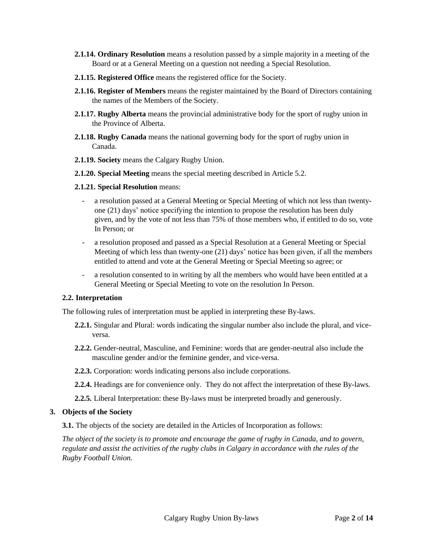- **2.1.14. Ordinary Resolution** means a resolution passed by a simple majority in a meeting of the Board or at a General Meeting on a question not needing a Special Resolution.
- **2.1.15. Registered Office** means the registered office for the Society.
- **2.1.16. Register of Members** means the register maintained by the Board of Directors containing the names of the Members of the Society.
- **2.1.17. Rugby Alberta** means the provincial administrative body for the sport of rugby union in the Province of Alberta.
- **2.1.18. Rugby Canada** means the national governing body for the sport of rugby union in Canada.
- **2.1.19. Society** means the Calgary Rugby Union.
- **2.1.20. Special Meeting** means the special meeting described in Article [5.2.](#page-5-0)
- **2.1.21. Special Resolution** means:
	- a resolution passed at a General Meeting or Special Meeting of which not less than twentyone (21) days' notice specifying the intention to propose the resolution has been duly given, and by the vote of not less than 75% of those members who, if entitled to do so, vote In Person; or
	- a resolution proposed and passed as a Special Resolution at a General Meeting or Special Meeting of which less than twenty-one (21) days' notice has been given, if all the members entitled to attend and vote at the General Meeting or Special Meeting so agree; or
	- a resolution consented to in writing by all the members who would have been entitled at a General Meeting or Special Meeting to vote on the resolution In Person.

## **2.2. Interpretation**

The following rules of interpretation must be applied in interpreting these By-laws.

- **2.2.1.** Singular and Plural: words indicating the singular number also include the plural, and viceversa.
- **2.2.2.** Gender-neutral, Masculine, and Feminine: words that are gender-neutral also include the masculine gender and/or the feminine gender, and vice-versa.
- **2.2.3.** Corporation: words indicating persons also include corporations.
- **2.2.4.** Headings are for convenience only. They do not affect the interpretation of these By-laws.
- **2.2.5.** Liberal Interpretation: these By-laws must be interpreted broadly and generously.

#### **3. Objects of the Society**

**3.1.** The objects of the society are detailed in the Articles of Incorporation as follows:

*The object of the society is to promote and encourage the game of rugby in Canada, and to govern, regulate and assist the activities of the rugby clubs in Calgary in accordance with the rules of the Rugby Football Union.*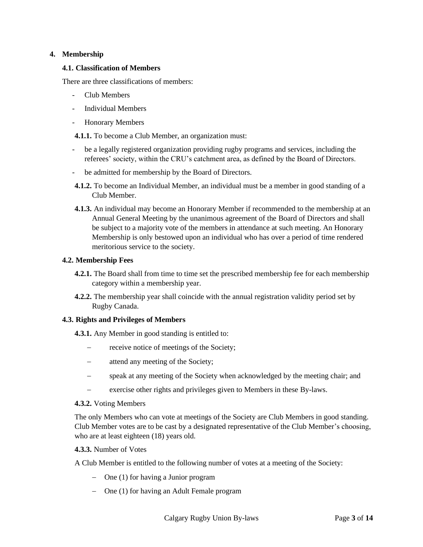# **4. Membership**

## **4.1. Classification of Members**

There are three classifications of members:

- Club Members
- Individual Members
- Honorary Members

<span id="page-2-0"></span>**4.1.1.** To become a Club Member, an organization must:

- be a legally registered organization providing rugby programs and services, including the referees' society, within the CRU's catchment area, as defined by the Board of Directors.
- be admitted for membership by the Board of Directors.
- <span id="page-2-1"></span>**4.1.2.** To become an Individual Member, an individual must be a member in good standing of a Club Member.
- **4.1.3.** An individual may become an Honorary Member if recommended to the membership at an Annual General Meeting by the unanimous agreement of the Board of Directors and shall be subject to a majority vote of the members in attendance at such meeting. An Honorary Membership is only bestowed upon an individual who has over a period of time rendered meritorious service to the society.

#### **4.2. Membership Fees**

- **4.2.1.** The Board shall from time to time set the prescribed membership fee for each membership category within a membership year.
- **4.2.2.** The membership year shall coincide with the annual registration validity period set by Rugby Canada.

## **4.3. Rights and Privileges of Members**

**4.3.1.** Any Member in good standing is entitled to:

- receive notice of meetings of the Society;
- − attend any meeting of the Society;
- − speak at any meeting of the Society when acknowledged by the meeting chair; and
- exercise other rights and privileges given to Members in these By-laws.

#### **4.3.2.** Voting Members

The only Members who can vote at meetings of the Society are Club Members in good standing. Club Member votes are to be cast by a designated representative of the Club Member's choosing, who are at least eighteen (18) years old.

#### <span id="page-2-2"></span>**4.3.3.** Number of Votes

A Club Member is entitled to the following number of votes at a meeting of the Society:

- − One (1) for having a Junior program
- − One (1) for having an Adult Female program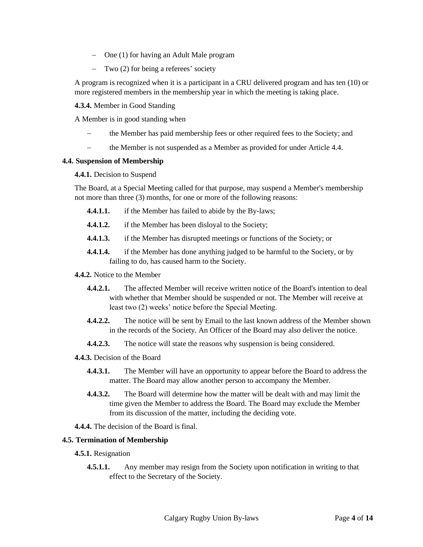- − One (1) for having an Adult Male program
- − Two (2) for being a referees' society

A program is recognized when it is a participant in a CRU delivered program and has ten (10) or more registered members in the membership year in which the meeting is taking place.

**4.3.4.** Member in Good Standing

A Member is in good standing when

- the Member has paid membership fees or other required fees to the Society; and
- the Member is not suspended as a Member as provided for under Article [4.4.](#page-3-0)

## <span id="page-3-0"></span>**4.4. Suspension of Membership**

## **4.4.1.** Decision to Suspend

The Board, at a Special Meeting called for that purpose, may suspend a Member's membership not more than three (3) months, for one or more of the following reasons:

- **4.4.1.1.** if the Member has failed to abide by the By-laws;
- **4.4.1.2.** if the Member has been disloyal to the Society;
- **4.4.1.3.** if the Member has disrupted meetings or functions of the Society; or
- **4.4.1.4.** if the Member has done anything judged to be harmful to the Society, or by failing to do, has caused harm to the Society.

## **4.4.2.** Notice to the Member

- **4.4.2.1.** The affected Member will receive written notice of the Board's intention to deal with whether that Member should be suspended or not. The Member will receive at least two (2) weeks' notice before the Special Meeting.
- **4.4.2.2.** The notice will be sent by Email to the last known address of the Member shown in the records of the Society. An Officer of the Board may also deliver the notice.
- **4.4.2.3.** The notice will state the reasons why suspension is being considered.
- **4.4.3.** Decision of the Board
	- **4.4.3.1.** The Member will have an opportunity to appear before the Board to address the matter. The Board may allow another person to accompany the Member.
	- **4.4.3.2.** The Board will determine how the matter will be dealt with and may limit the time given the Member to address the Board. The Board may exclude the Member from its discussion of the matter, including the deciding vote.
- **4.4.4.** The decision of the Board is final.

## **4.5. Termination of Membership**

- **4.5.1.** Resignation
	- **4.5.1.1.** Any member may resign from the Society upon notification in writing to that effect to the Secretary of the Society.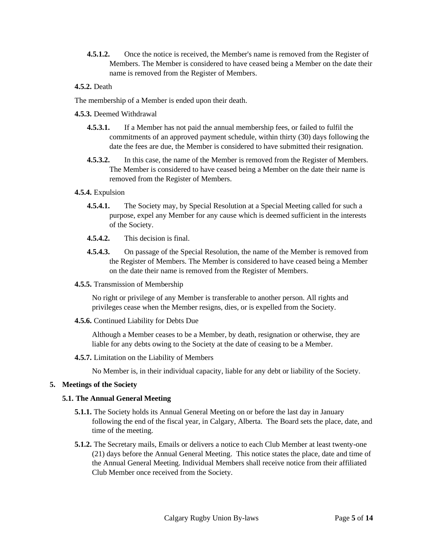**4.5.1.2.** Once the notice is received, the Member's name is removed from the Register of Members. The Member is considered to have ceased being a Member on the date their name is removed from the Register of Members.

## **4.5.2.** Death

The membership of a Member is ended upon their death.

**4.5.3.** Deemed Withdrawal

- **4.5.3.1.** If a Member has not paid the annual membership fees, or failed to fulfil the commitments of an approved payment schedule, within thirty (30) days following the date the fees are due, the Member is considered to have submitted their resignation.
- **4.5.3.2.** In this case, the name of the Member is removed from the Register of Members. The Member is considered to have ceased being a Member on the date their name is removed from the Register of Members.

# **4.5.4.** Expulsion

- **4.5.4.1.** The Society may, by Special Resolution at a Special Meeting called for such a purpose, expel any Member for any cause which is deemed sufficient in the interests of the Society.
- **4.5.4.2.** This decision is final.
- **4.5.4.3.** On passage of the Special Resolution, the name of the Member is removed from the Register of Members. The Member is considered to have ceased being a Member on the date their name is removed from the Register of Members.
- **4.5.5.** Transmission of Membership

No right or privilege of any Member is transferable to another person. All rights and privileges cease when the Member resigns, dies, or is expelled from the Society.

**4.5.6.** Continued Liability for Debts Due

Although a Member ceases to be a Member, by death, resignation or otherwise, they are liable for any debts owing to the Society at the date of ceasing to be a Member.

**4.5.7.** Limitation on the Liability of Members

No Member is, in their individual capacity, liable for any debt or liability of the Society.

# <span id="page-4-0"></span>**5. Meetings of the Society**

## **5.1. The Annual General Meeting**

- **5.1.1.** The Society holds its Annual General Meeting on or before the last day in January following the end of the fiscal year, in Calgary, Alberta. The Board sets the place, date, and time of the meeting.
- **5.1.2.** The Secretary mails, Emails or delivers a notice to each Club Member at least twenty-one (21) days before the Annual General Meeting. This notice states the place, date and time of the Annual General Meeting. Individual Members shall receive notice from their affiliated Club Member once received from the Society.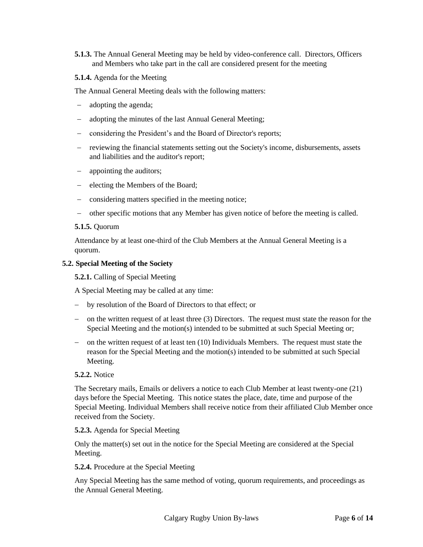**5.1.3.** The Annual General Meeting may be held by video-conference call. Directors, Officers and Members who take part in the call are considered present for the meeting

## **5.1.4.** Agenda for the Meeting

The Annual General Meeting deals with the following matters:

- adopting the agenda;
- − adopting the minutes of the last Annual General Meeting;
- − considering the President's and the Board of Director's reports;
- − reviewing the financial statements setting out the Society's income, disbursements, assets and liabilities and the auditor's report;
- − appointing the auditors;
- − electing the Members of the Board;
- − considering matters specified in the meeting notice;
- − other specific motions that any Member has given notice of before the meeting is called.

#### **5.1.5.** Quorum

Attendance by at least one-third of the Club Members at the Annual General Meeting is a quorum.

#### <span id="page-5-0"></span>**5.2. Special Meeting of the Society**

**5.2.1.** Calling of Special Meeting

A Special Meeting may be called at any time:

- − by resolution of the Board of Directors to that effect; or
- − on the written request of at least three (3) Directors. The request must state the reason for the Special Meeting and the motion(s) intended to be submitted at such Special Meeting or;
- − on the written request of at least ten (10) Individuals Members. The request must state the reason for the Special Meeting and the motion(s) intended to be submitted at such Special Meeting.

#### **5.2.2.** Notice

The Secretary mails, Emails or delivers a notice to each Club Member at least twenty-one (21) days before the Special Meeting. This notice states the place, date, time and purpose of the Special Meeting. Individual Members shall receive notice from their affiliated Club Member once received from the Society.

#### **5.2.3.** Agenda for Special Meeting

Only the matter(s) set out in the notice for the Special Meeting are considered at the Special Meeting.

#### **5.2.4.** Procedure at the Special Meeting

Any Special Meeting has the same method of voting, quorum requirements, and proceedings as the Annual General Meeting.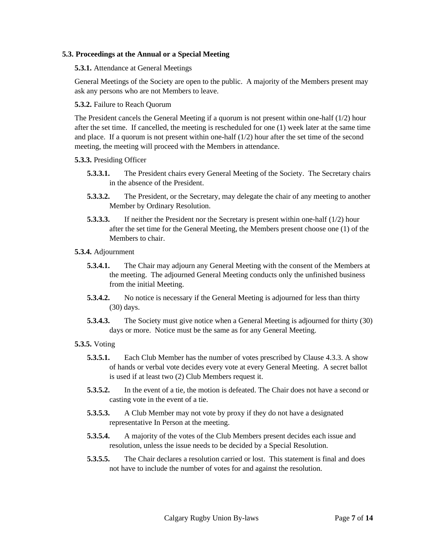## **5.3. Proceedings at the Annual or a Special Meeting**

**5.3.1.** Attendance at General Meetings

General Meetings of the Society are open to the public. A majority of the Members present may ask any persons who are not Members to leave.

## **5.3.2.** Failure to Reach Quorum

The President cancels the General Meeting if a quorum is not present within one-half  $(1/2)$  hour after the set time. If cancelled, the meeting is rescheduled for one (1) week later at the same time and place. If a quorum is not present within one-half (1/2) hour after the set time of the second meeting, the meeting will proceed with the Members in attendance.

#### **5.3.3.** Presiding Officer

- **5.3.3.1.** The President chairs every General Meeting of the Society. The Secretary chairs in the absence of the President.
- **5.3.3.2.** The President, or the Secretary, may delegate the chair of any meeting to another Member by Ordinary Resolution.
- **5.3.3.3.** If neither the President nor the Secretary is present within one-half (1/2) hour after the set time for the General Meeting, the Members present choose one (1) of the Members to chair.
- **5.3.4.** Adjournment
	- **5.3.4.1.** The Chair may adjourn any General Meeting with the consent of the Members at the meeting. The adjourned General Meeting conducts only the unfinished business from the initial Meeting.
	- **5.3.4.2.** No notice is necessary if the General Meeting is adjourned for less than thirty (30) days.
	- **5.3.4.3.** The Society must give notice when a General Meeting is adjourned for thirty (30) days or more. Notice must be the same as for any General Meeting.

## **5.3.5.** Voting

- **5.3.5.1.** Each Club Member has the number of votes prescribed by Clause [4.3.3.](#page-2-2) A show of hands or verbal vote decides every vote at every General Meeting. A secret ballot is used if at least two (2) Club Members request it.
- **5.3.5.2.** In the event of a tie, the motion is defeated. The Chair does not have a second or casting vote in the event of a tie.
- **5.3.5.3.** A Club Member may not vote by proxy if they do not have a designated representative In Person at the meeting.
- **5.3.5.4.** A majority of the votes of the Club Members present decides each issue and resolution, unless the issue needs to be decided by a Special Resolution.
- **5.3.5.5.** The Chair declares a resolution carried or lost. This statement is final and does not have to include the number of votes for and against the resolution.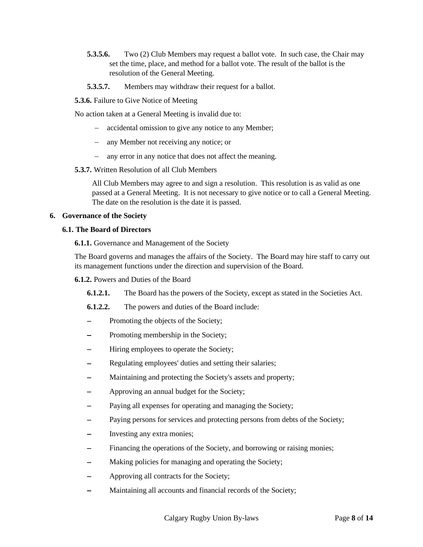- **5.3.5.6.** Two (2) Club Members may request a ballot vote. In such case, the Chair may set the time, place, and method for a ballot vote. The result of the ballot is the resolution of the General Meeting.
- **5.3.5.7.** Members may withdraw their request for a ballot.

**5.3.6.** Failure to Give Notice of Meeting

No action taken at a General Meeting is invalid due to:

- accidental omission to give any notice to any Member;
- any Member not receiving any notice; or
- any error in any notice that does not affect the meaning.
- **5.3.7.** Written Resolution of all Club Members

All Club Members may agree to and sign a resolution. This resolution is as valid as one passed at a General Meeting. It is not necessary to give notice or to call a General Meeting. The date on the resolution is the date it is passed.

## **6. Governance of the Society**

# **6.1. The Board of Directors**

**6.1.1.** Governance and Management of the Society

The Board governs and manages the affairs of the Society. The Board may hire staff to carry out its management functions under the direction and supervision of the Board.

**6.1.2.** Powers and Duties of the Board

- **6.1.2.1.** The Board has the powers of the Society, except as stated in the Societies Act.
- **6.1.2.2.** The powers and duties of the Board include:
- Promoting the objects of the Society;
- Promoting membership in the Society;
- Hiring employees to operate the Society;
- Regulating employees' duties and setting their salaries;
- Maintaining and protecting the Society's assets and property;
- − Approving an annual budget for the Society;
- Paying all expenses for operating and managing the Society;
- Paying persons for services and protecting persons from debts of the Society;
- Investing any extra monies;
- Financing the operations of the Society, and borrowing or raising monies;
- Making policies for managing and operating the Society;
- − Approving all contracts for the Society;
- Maintaining all accounts and financial records of the Society;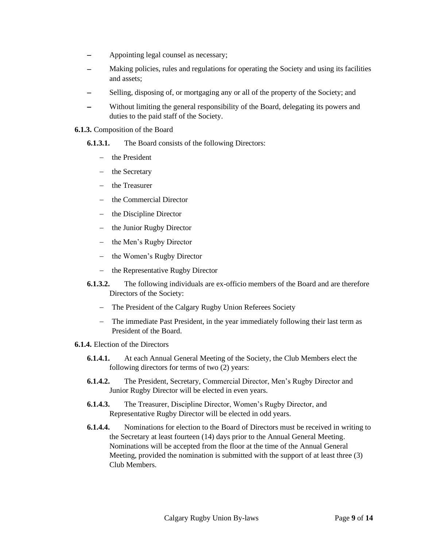- Appointing legal counsel as necessary;
- Making policies, rules and regulations for operating the Society and using its facilities and assets;
- Selling, disposing of, or mortgaging any or all of the property of the Society; and
- Without limiting the general responsibility of the Board, delegating its powers and duties to the paid staff of the Society.

#### **6.1.3.** Composition of the Board

- **6.1.3.1.** The Board consists of the following Directors:
	- − the President
	- − the Secretary
	- − the Treasurer
	- − the Commercial Director
	- − the Discipline Director
	- − the Junior Rugby Director
	- − the Men's Rugby Director
	- − the Women's Rugby Director
	- − the Representative Rugby Director
- <span id="page-8-0"></span>**6.1.3.2.** The following individuals are ex-officio members of the Board and are therefore Directors of the Society:
	- − The President of the Calgary Rugby Union Referees Society
	- − The immediate Past President, in the year immediately following their last term as President of the Board.
- **6.1.4.** Election of the Directors
	- **6.1.4.1.** At each Annual General Meeting of the Society, the Club Members elect the following directors for terms of two (2) years:
	- **6.1.4.2.** The President, Secretary, Commercial Director, Men's Rugby Director and Junior Rugby Director will be elected in even years.
	- **6.1.4.3.** The Treasurer, Discipline Director, Women's Rugby Director, and Representative Rugby Director will be elected in odd years.
	- **6.1.4.4.** Nominations for election to the Board of Directors must be received in writing to the Secretary at least fourteen (14) days prior to the Annual General Meeting. Nominations will be accepted from the floor at the time of the Annual General Meeting, provided the nomination is submitted with the support of at least three (3) Club Members.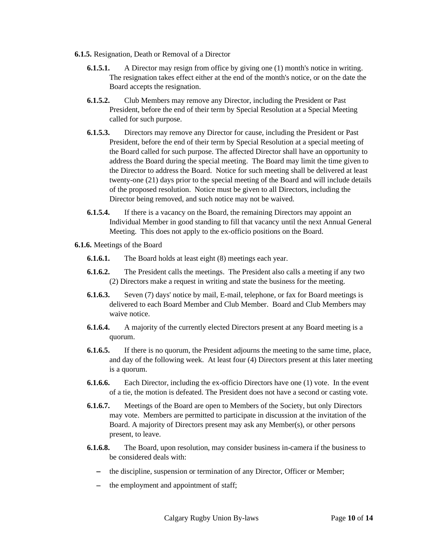- **6.1.5.** Resignation, Death or Removal of a Director
	- **6.1.5.1.** A Director may resign from office by giving one (1) month's notice in writing. The resignation takes effect either at the end of the month's notice, or on the date the Board accepts the resignation.
	- **6.1.5.2.** Club Members may remove any Director, including the President or Past President, before the end of their term by Special Resolution at a Special Meeting called for such purpose.
	- **6.1.5.3.** Directors may remove any Director for cause, including the President or Past President, before the end of their term by Special Resolution at a special meeting of the Board called for such purpose. The affected Director shall have an opportunity to address the Board during the special meeting. The Board may limit the time given to the Director to address the Board. Notice for such meeting shall be delivered at least twenty-one (21) days prior to the special meeting of the Board and will include details of the proposed resolution. Notice must be given to all Directors, including the Director being removed, and such notice may not be waived.
	- **6.1.5.4.** If there is a vacancy on the Board, the remaining Directors may appoint an Individual Member in good standing to fill that vacancy until the next Annual General Meeting. This does not apply to the ex-officio positions on the Board.
- **6.1.6.** Meetings of the Board
	- **6.1.6.1.** The Board holds at least eight (8) meetings each year.
	- **6.1.6.2.** The President calls the meetings. The President also calls a meeting if any two (2) Directors make a request in writing and state the business for the meeting.
	- **6.1.6.3.** Seven (7) days' notice by mail, E-mail, telephone, or fax for Board meetings is delivered to each Board Member and Club Member. Board and Club Members may waive notice.
	- **6.1.6.4.** A majority of the currently elected Directors present at any Board meeting is a quorum.
	- **6.1.6.5.** If there is no quorum, the President adjourns the meeting to the same time, place, and day of the following week. At least four (4) Directors present at this later meeting is a quorum.
	- **6.1.6.6.** Each Director, including the ex-officio Directors have one (1) vote. In the event of a tie, the motion is defeated. The President does not have a second or casting vote.
	- **6.1.6.7.** Meetings of the Board are open to Members of the Society, but only Directors may vote. Members are permitted to participate in discussion at the invitation of the Board. A majority of Directors present may ask any Member(s), or other persons present, to leave.
	- **6.1.6.8.** The Board, upon resolution, may consider business in-camera if the business to be considered deals with:
		- − the discipline, suspension or termination of any Director, Officer or Member;
		- − the employment and appointment of staff;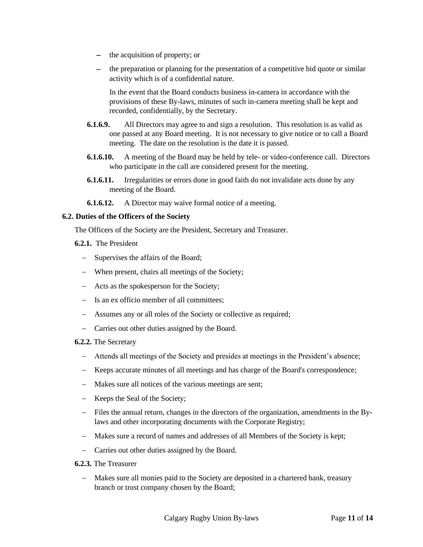- − the acquisition of property; or
- − the preparation or planning for the presentation of a competitive bid quote or similar activity which is of a confidential nature.

In the event that the Board conducts business in-camera in accordance with the provisions of these By-laws, minutes of such in-camera meeting shall be kept and recorded, confidentially, by the Secretary.

- **6.1.6.9.** All Directors may agree to and sign a resolution. This resolution is as valid as one passed at any Board meeting. It is not necessary to give notice or to call a Board meeting. The date on the resolution is the date it is passed.
- **6.1.6.10.** A meeting of the Board may be held by tele- or video-conference call. Directors who participate in the call are considered present for the meeting.
- **6.1.6.11.** Irregularities or errors done in good faith do not invalidate acts done by any meeting of the Board.
- **6.1.6.12.** A Director may waive formal notice of a meeting.

## <span id="page-10-0"></span>**6.2. Duties of the Officers of the Society**

The Officers of the Society are the President, Secretary and Treasurer.

- **6.2.1.** The President
	- Supervises the affairs of the Board;
	- − When present, chairs all meetings of the Society;
	- − Acts as the spokesperson for the Society;
	- − Is an ex officio member of all committees;
	- − Assumes any or all roles of the Society or collective as required;
	- − Carries out other duties assigned by the Board.
- **6.2.2.** The Secretary
	- Attends all meetings of the Society and presides at meetings in the President's absence;
	- Keeps accurate minutes of all meetings and has charge of the Board's correspondence;
	- − Makes sure all notices of the various meetings are sent;
	- − Keeps the Seal of the Society;
	- Files the annual return, changes in the directors of the organization, amendments in the Bylaws and other incorporating documents with the Corporate Registry;
	- − Makes sure a record of names and addresses of all Members of the Society is kept;
	- − Carries out other duties assigned by the Board.
- **6.2.3.** The Treasurer
	- − Makes sure all monies paid to the Society are deposited in a chartered bank, treasury branch or trust company chosen by the Board;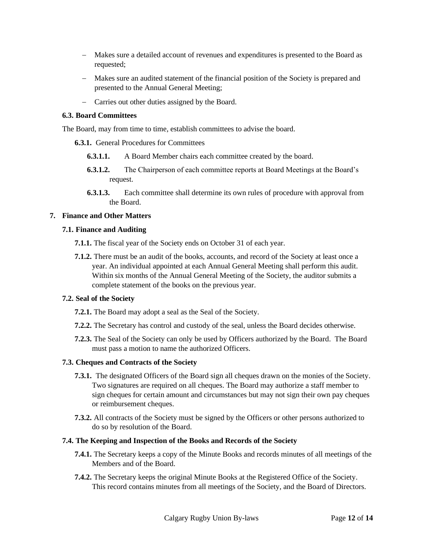- − Makes sure a detailed account of revenues and expenditures is presented to the Board as requested;
- − Makes sure an audited statement of the financial position of the Society is prepared and presented to the Annual General Meeting;
- − Carries out other duties assigned by the Board.

#### **6.3. Board Committees**

The Board, may from time to time, establish committees to advise the board.

- **6.3.1.** General Procedures for Committees
	- **6.3.1.1.** A Board Member chairs each committee created by the board.
	- **6.3.1.2.** The Chairperson of each committee reports at Board Meetings at the Board's request.
	- **6.3.1.3.** Each committee shall determine its own rules of procedure with approval from the Board.

## **7. Finance and Other Matters**

#### **7.1. Finance and Auditing**

**7.1.1.** The fiscal year of the Society ends on October 31 of each year.

**7.1.2.** There must be an audit of the books, accounts, and record of the Society at least once a year. An individual appointed at each Annual General Meeting shall perform this audit. Within six months of the Annual General Meeting of the Society, the auditor submits a complete statement of the books on the previous year.

## **7.2. Seal of the Society**

**7.2.1.** The Board may adopt a seal as the Seal of the Society.

- **7.2.2.** The Secretary has control and custody of the seal, unless the Board decides otherwise.
- **7.2.3.** The Seal of the Society can only be used by Officers authorized by the Board. The Board must pass a motion to name the authorized Officers.

## **7.3. Cheques and Contracts of the Society**

- **7.3.1.** The designated Officers of the Board sign all cheques drawn on the monies of the Society. Two signatures are required on all cheques. The Board may authorize a staff member to sign cheques for certain amount and circumstances but may not sign their own pay cheques or reimbursement cheques.
- **7.3.2.** All contracts of the Society must be signed by the Officers or other persons authorized to do so by resolution of the Board.

#### **7.4. The Keeping and Inspection of the Books and Records of the Society**

- **7.4.1.** The Secretary keeps a copy of the Minute Books and records minutes of all meetings of the Members and of the Board.
- **7.4.2.** The Secretary keeps the original Minute Books at the Registered Office of the Society. This record contains minutes from all meetings of the Society, and the Board of Directors.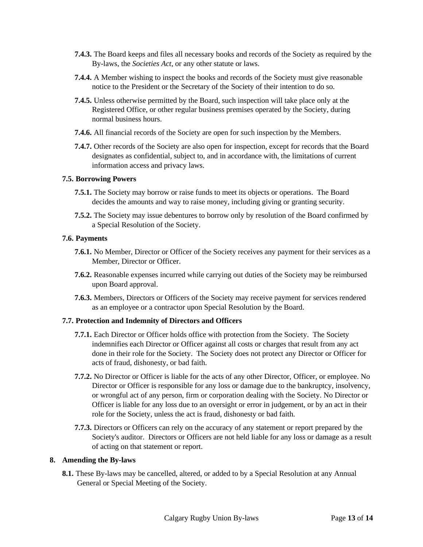- **7.4.3.** The Board keeps and files all necessary books and records of the Society as required by the By-laws, the *Societies Act*, or any other statute or laws.
- **7.4.4.** A Member wishing to inspect the books and records of the Society must give reasonable notice to the President or the Secretary of the Society of their intention to do so.
- **7.4.5.** Unless otherwise permitted by the Board, such inspection will take place only at the Registered Office, or other regular business premises operated by the Society, during normal business hours.
- **7.4.6.** All financial records of the Society are open for such inspection by the Members.
- **7.4.7.** Other records of the Society are also open for inspection, except for records that the Board designates as confidential, subject to, and in accordance with, the limitations of current information access and privacy laws.

#### **7.5. Borrowing Powers**

- **7.5.1.** The Society may borrow or raise funds to meet its objects or operations. The Board decides the amounts and way to raise money, including giving or granting security.
- **7.5.2.** The Society may issue debentures to borrow only by resolution of the Board confirmed by a Special Resolution of the Society.

#### **7.6. Payments**

- **7.6.1.** No Member, Director or Officer of the Society receives any payment for their services as a Member, Director or Officer.
- **7.6.2.** Reasonable expenses incurred while carrying out duties of the Society may be reimbursed upon Board approval.
- **7.6.3.** Members, Directors or Officers of the Society may receive payment for services rendered as an employee or a contractor upon Special Resolution by the Board.

## **7.7. Protection and Indemnity of Directors and Officers**

- **7.7.1.** Each Director or Officer holds office with protection from the Society. The Society indemnifies each Director or Officer against all costs or charges that result from any act done in their role for the Society. The Society does not protect any Director or Officer for acts of fraud, dishonesty, or bad faith.
- **7.7.2.** No Director or Officer is liable for the acts of any other Director, Officer, or employee. No Director or Officer is responsible for any loss or damage due to the bankruptcy, insolvency, or wrongful act of any person, firm or corporation dealing with the Society. No Director or Officer is liable for any loss due to an oversight or error in judgement, or by an act in their role for the Society, unless the act is fraud, dishonesty or bad faith.
- **7.7.3.** Directors or Officers can rely on the accuracy of any statement or report prepared by the Society's auditor. Directors or Officers are not held liable for any loss or damage as a result of acting on that statement or report.

## **8. Amending the By-laws**

**8.1.** These By-laws may be cancelled, altered, or added to by a Special Resolution at any Annual General or Special Meeting of the Society.